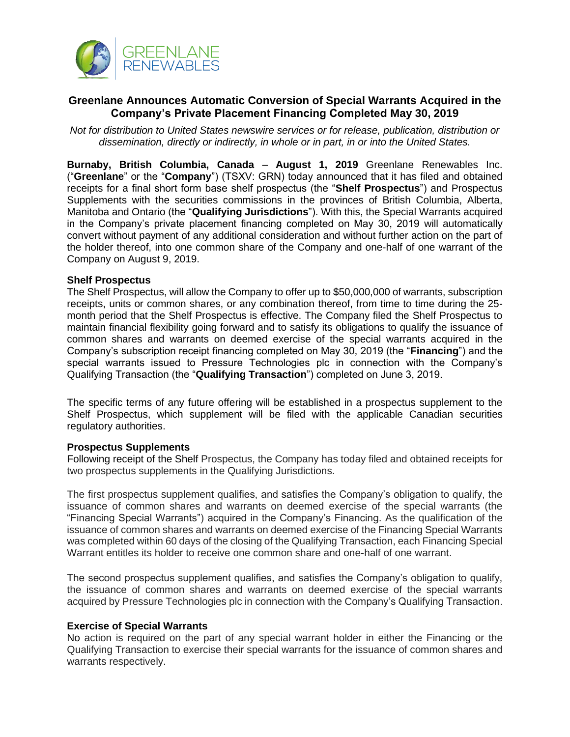

# **Greenlane Announces Automatic Conversion of Special Warrants Acquired in the Company's Private Placement Financing Completed May 30, 2019**

*Not for distribution to United States newswire services or for release, publication, distribution or dissemination, directly or indirectly, in whole or in part, in or into the United States.*

**Burnaby, British Columbia, Canada** – **August 1, 2019** Greenlane Renewables Inc. ("**Greenlane**" or the "**Company**") (TSXV: GRN) today announced that it has filed and obtained receipts for a final short form base shelf prospectus (the "**Shelf Prospectus**") and Prospectus Supplements with the securities commissions in the provinces of British Columbia, Alberta, Manitoba and Ontario (the "**Qualifying Jurisdictions**"). With this, the Special Warrants acquired in the Company's private placement financing completed on May 30, 2019 will automatically convert without payment of any additional consideration and without further action on the part of the holder thereof, into one common share of the Company and one-half of one warrant of the Company on August 9, 2019.

# **Shelf Prospectus**

The Shelf Prospectus, will allow the Company to offer up to \$50,000,000 of warrants, subscription receipts, units or common shares, or any combination thereof, from time to time during the 25 month period that the Shelf Prospectus is effective. The Company filed the Shelf Prospectus to maintain financial flexibility going forward and to satisfy its obligations to qualify the issuance of common shares and warrants on deemed exercise of the special warrants acquired in the Company's subscription receipt financing completed on May 30, 2019 (the "**Financing**") and the special warrants issued to Pressure Technologies plc in connection with the Company's Qualifying Transaction (the "**Qualifying Transaction**") completed on June 3, 2019.

The specific terms of any future offering will be established in a prospectus supplement to the Shelf Prospectus, which supplement will be filed with the applicable Canadian securities regulatory authorities.

#### **Prospectus Supplements**

Following receipt of the Shelf Prospectus, the Company has today filed and obtained receipts for two prospectus supplements in the Qualifying Jurisdictions.

The first prospectus supplement qualifies, and satisfies the Company's obligation to qualify, the issuance of common shares and warrants on deemed exercise of the special warrants (the "Financing Special Warrants") acquired in the Company's Financing. As the qualification of the issuance of common shares and warrants on deemed exercise of the Financing Special Warrants was completed within 60 days of the closing of the Qualifying Transaction, each Financing Special Warrant entitles its holder to receive one common share and one-half of one warrant.

The second prospectus supplement qualifies, and satisfies the Company's obligation to qualify, the issuance of common shares and warrants on deemed exercise of the special warrants acquired by Pressure Technologies plc in connection with the Company's Qualifying Transaction.

# **Exercise of Special Warrants**

No action is required on the part of any special warrant holder in either the Financing or the Qualifying Transaction to exercise their special warrants for the issuance of common shares and warrants respectively.